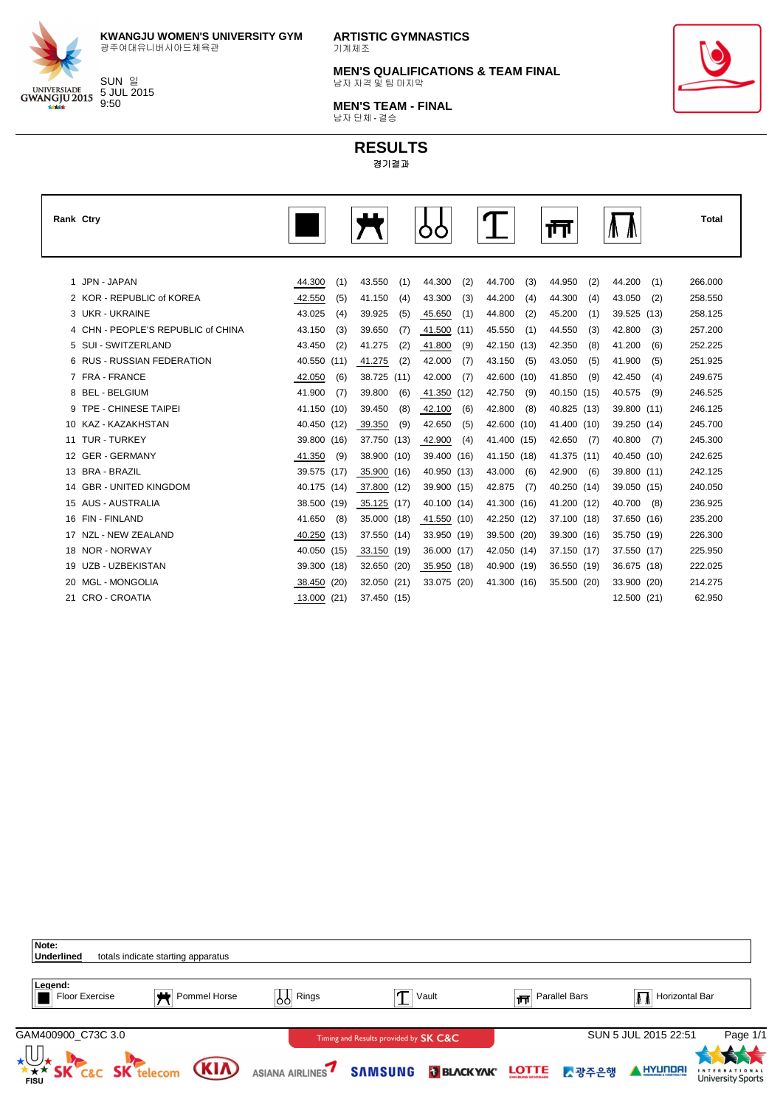

SUN 일 5 JUL 2015 9:50

**KWANGJU WOMEN'S UNIVERSITY GYM** 광주여대유니버시아드체육관

**ARTISTIC GYMNASTICS** 기계체조

**MEN'S QUALIFICATIONS & TEAM FINAL** 남자 자격 및 팀 마지막

**MEN'S TEAM - FINAL** 남자 단체 - 결승



| Rank Ctry |                                    |             |     |             |      |             |      |             |     | ŢŢ          |     |             |      | <b>Total</b> |
|-----------|------------------------------------|-------------|-----|-------------|------|-------------|------|-------------|-----|-------------|-----|-------------|------|--------------|
|           |                                    |             |     |             |      |             |      |             |     |             |     |             |      |              |
|           | 1 JPN - JAPAN                      | 44.300      | (1) | 43.550      | (1)  | 44.300      | (2)  | 44.700      | (3) | 44.950      | (2) | 44.200      | (1)  | 266.000      |
|           | 2 KOR - REPUBLIC of KOREA          | 42.550      | (5) | 41.150      | (4)  | 43.300      | (3)  | 44.200      | (4) | 44.300      | (4) | 43.050      | (2)  | 258.550      |
|           | 3 UKR - UKRAINE                    | 43.025      | (4) | 39.925      | (5)  | 45.650      | (1)  | 44.800      | (2) | 45.200      | (1) | 39.525      | (13) | 258.125      |
|           | 4 CHN - PEOPLE'S REPUBLIC of CHINA | 43.150      | (3) | 39.650      | (7)  | 41.500      | (11) | 45.550      | (1) | 44.550      | (3) | 42.800      | (3)  | 257.200      |
|           | 5 SUI - SWITZERLAND                | 43.450      | (2) | 41.275      | (2)  | 41.800      | (9)  | 42.150 (13) |     | 42.350      | (8) | 41.200      | (6)  | 252.225      |
|           | 6 RUS - RUSSIAN FEDERATION         | 40.550 (11) |     | 41.275      | (2)  | 42.000      | (7)  | 43.150      | (5) | 43.050      | (5) | 41.900      | (5)  | 251.925      |
|           | 7 FRA - FRANCE                     | 42.050      | (6) | 38.725      | (11) | 42.000      | (7)  | 42.600 (10) |     | 41.850      | (9) | 42.450      | (4)  | 249.675      |
|           | 8 BEL - BELGIUM                    | 41.900      | (7) | 39.800      | (6)  | 41.350      | (12) | 42.750      | (9) | 40.150 (15) |     | 40.575      | (9)  | 246.525      |
|           | 9 TPE - CHINESE TAIPEI             | 41.150 (10) |     | 39.450      | (8)  | 42.100      | (6)  | 42.800      | (8) | 40.825 (13) |     | 39.800 (11) |      | 246.125      |
|           | 10 KAZ - KAZAKHSTAN                | 40.450 (12) |     | 39.350      | (9)  | 42.650      | (5)  | 42.600 (10) |     | 41.400 (10) |     | 39.250 (14) |      | 245.700      |
|           | 11 TUR - TURKEY                    | 39.800 (16) |     | 37.750 (13) |      | 42.900      | (4)  | 41.400 (15) |     | 42.650      | (7) | 40.800      | (7)  | 245.300      |
|           | 12 GER - GERMANY                   | 41.350      | (9) | 38.900 (10) |      | 39.400      | (16) | 41.150 (18) |     | 41.375 (11) |     | 40.450 (10) |      | 242.625      |
|           | 13 BRA - BRAZIL                    | 39.575 (17) |     | 35.900 (16) |      | 40.950 (13) |      | 43.000      | (6) | 42.900      | (6) | 39.800 (11) |      | 242.125      |
|           | 14 GBR - UNITED KINGDOM            | 40.175 (14) |     | 37.800 (12) |      | 39.900 (15) |      | 42.875      | (7) | 40.250 (14) |     | 39.050 (15) |      | 240.050      |
|           | 15 AUS - AUSTRALIA                 | 38.500 (19) |     | 35.125 (17) |      | 40.100 (14) |      | 41.300 (16) |     | 41.200 (12) |     | 40.700      | (8)  | 236.925      |
|           | 16 FIN - FINLAND                   | 41.650      | (8) | 35.000 (18) |      | 41.550 (10) |      | 42.250 (12) |     | 37.100 (18) |     | 37.650 (16) |      | 235.200      |
|           | 17 NZL - NEW ZEALAND               | 40.250 (13) |     | 37.550 (14) |      | 33.950 (19) |      | 39.500 (20) |     | 39.300 (16) |     | 35.750 (19) |      | 226.300      |
|           | 18 NOR - NORWAY                    | 40.050 (15) |     | 33.150 (19) |      | 36.000 (17) |      | 42.050 (14) |     | 37.150 (17) |     | 37.550 (17) |      | 225.950      |
| 19        | UZB - UZBEKISTAN                   | 39.300 (18) |     | 32.650 (20) |      | 35.950      | (18) | 40.900 (19) |     | 36.550 (19) |     | 36.675 (18) |      | 222.025      |
| 20        | <b>MGL - MONGOLIA</b>              | 38.450 (20) |     | 32.050 (21) |      | 33.075 (20) |      | 41.300 (16) |     | 35.500 (20) |     | 33.900 (20) |      | 214.275      |
|           | 21 CRO - CROATIA                   | 13.000 (21) |     | 37.450 (15) |      |             |      |             |     |             |     | 12.500 (21) |      | 62.950       |

| Note:<br>Underlined              | totals indicate starting apparatus |                 |                                                  |                                 |              |               |                      |                                                             |
|----------------------------------|------------------------------------|-----------------|--------------------------------------------------|---------------------------------|--------------|---------------|----------------------|-------------------------------------------------------------|
| Legend:<br>Floor Exercise        | Pommel Horse                       | Rings<br> የየ    |                                                  | Vault                           | 帀            | Parallel Bars | Horizontal Bar       |                                                             |
| GAM400900 C73C 3.0               |                                    |                 | Timing and Results provided by <b>SK C&amp;C</b> |                                 |              |               | SUN 5 JUL 2015 22:51 | Page 1/1                                                    |
| <b>THE SK C&amp;C SK telecom</b> | <b>(KIA)</b>                       | ASIANA AIRLINES | <b>SAMSUNG</b>                                   | <b>J</b> BLACK YAK <sup>®</sup> | <b>LOTTE</b> | △광주은행         | HYUNDA               | 大夫<br>頁<br><b>INTERNATIONAL</b><br><b>University Sports</b> |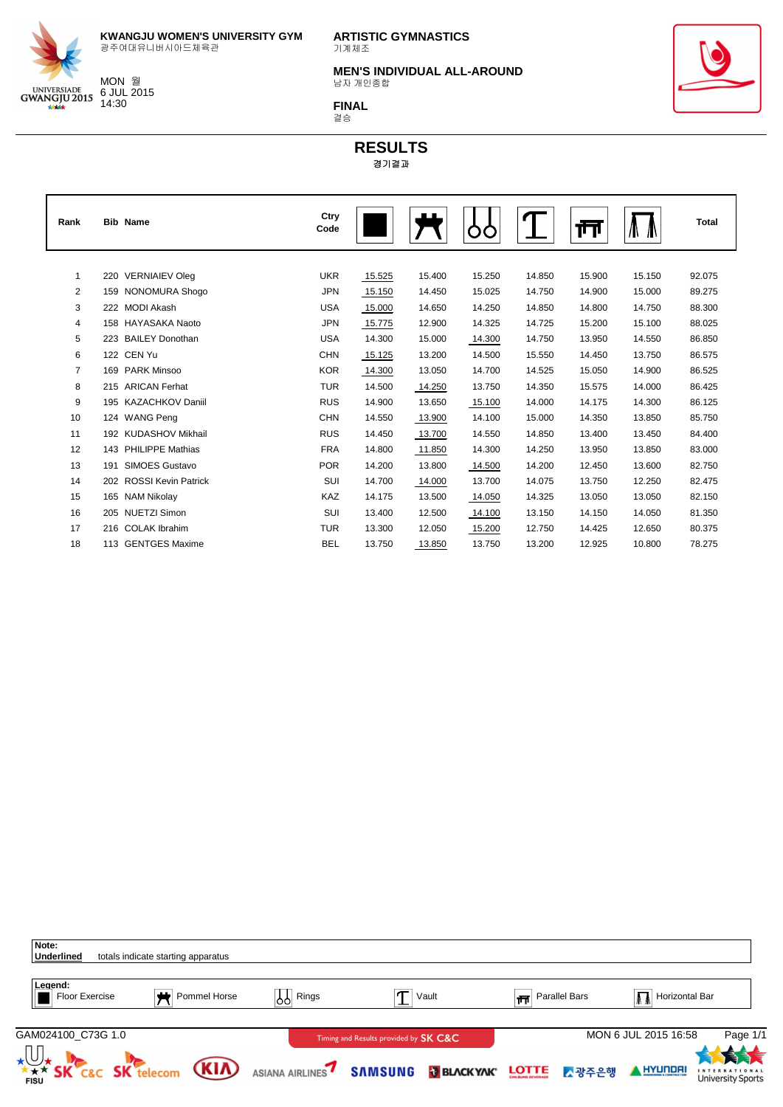

6 JUL 2015 14:30

**ARTISTIC GYMNASTICS** 기계체조

**MEN'S INDIVIDUAL ALL-AROUND** 남자 개인종합



결승



| Rank           |     | <b>Bib Name</b>            | Ctry<br>Code |        | . .    |        |        | ш      | Ш      | <b>Total</b> |
|----------------|-----|----------------------------|--------------|--------|--------|--------|--------|--------|--------|--------------|
|                |     |                            |              |        |        |        |        |        |        |              |
| $\mathbf{1}$   | 220 | <b>VERNIAIEV Oleg</b>      | <b>UKR</b>   | 15.525 | 15.400 | 15.250 | 14.850 | 15.900 | 15.150 | 92.075       |
| 2              | 159 | NONOMURA Shogo             | <b>JPN</b>   | 15.150 | 14.450 | 15.025 | 14.750 | 14.900 | 15.000 | 89.275       |
| 3              | 222 | <b>MODI Akash</b>          | <b>USA</b>   | 15.000 | 14.650 | 14.250 | 14.850 | 14.800 | 14.750 | 88.300       |
| 4              | 158 | HAYASAKA Naoto             | <b>JPN</b>   | 15.775 | 12.900 | 14.325 | 14.725 | 15.200 | 15.100 | 88.025       |
| 5              | 223 | <b>BAILEY Donothan</b>     | <b>USA</b>   | 14.300 | 15.000 | 14.300 | 14.750 | 13.950 | 14.550 | 86.850       |
| 6              | 122 | CEN Yu                     | <b>CHN</b>   | 15.125 | 13.200 | 14.500 | 15.550 | 14.450 | 13.750 | 86.575       |
| $\overline{7}$ | 169 | <b>PARK Minsoo</b>         | <b>KOR</b>   | 14.300 | 13.050 | 14.700 | 14.525 | 15.050 | 14.900 | 86.525       |
| 8              | 215 | <b>ARICAN Ferhat</b>       | <b>TUR</b>   | 14.500 | 14.250 | 13.750 | 14.350 | 15.575 | 14.000 | 86.425       |
| 9              | 195 | <b>KAZACHKOV Daniil</b>    | <b>RUS</b>   | 14.900 | 13.650 | 15.100 | 14.000 | 14.175 | 14.300 | 86.125       |
| 10             |     | 124 WANG Peng              | <b>CHN</b>   | 14.550 | 13.900 | 14.100 | 15.000 | 14.350 | 13.850 | 85.750       |
| 11             | 192 | KUDASHOV Mikhail           | <b>RUS</b>   | 14.450 | 13.700 | 14.550 | 14.850 | 13.400 | 13.450 | 84.400       |
| 12             | 143 | <b>PHILIPPE Mathias</b>    | <b>FRA</b>   | 14.800 | 11.850 | 14.300 | 14.250 | 13.950 | 13.850 | 83.000       |
| 13             | 191 | <b>SIMOES Gustavo</b>      | <b>POR</b>   | 14.200 | 13.800 | 14.500 | 14.200 | 12.450 | 13.600 | 82.750       |
| 14             | 202 | <b>ROSSI Kevin Patrick</b> | SUI          | 14.700 | 14.000 | 13.700 | 14.075 | 13.750 | 12.250 | 82.475       |
| 15             | 165 | <b>NAM Nikolay</b>         | <b>KAZ</b>   | 14.175 | 13.500 | 14.050 | 14.325 | 13.050 | 13.050 | 82.150       |
| 16             | 205 | <b>NUETZI Simon</b>        | SUI          | 13.400 | 12.500 | 14.100 | 13.150 | 14.150 | 14.050 | 81.350       |
| 17             | 216 | <b>COLAK Ibrahim</b>       | <b>TUR</b>   | 13.300 | 12.050 | 15.200 | 12.750 | 14.425 | 12.650 | 80.375       |
| 18             |     | 113 GENTGES Maxime         | <b>BEL</b>   | 13.750 | 13.850 | 13.750 | 13.200 | 12.925 | 10.800 | 78.275       |

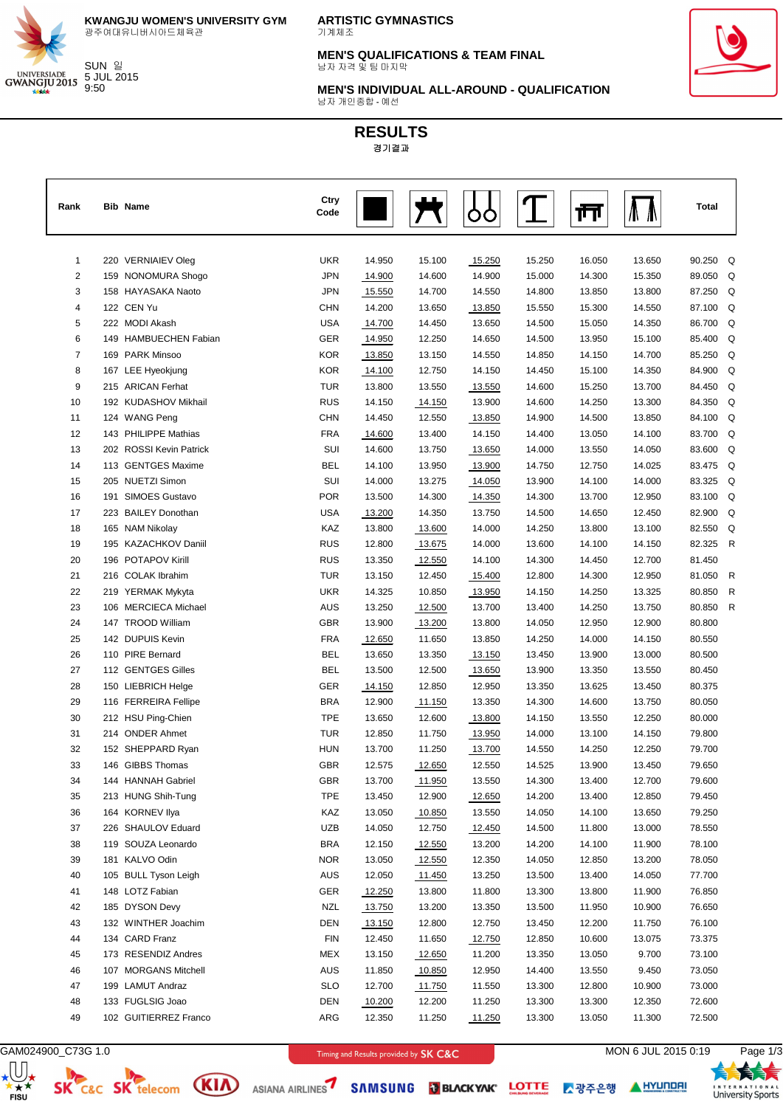

**KWANGJU WOMEN'S UNIVERSITY GYM** 광주여대유니버시아드체육관

**ARTISTIC GYMNASTICS** 기계체조

**MEN'S QUALIFICATIONS & TEAM FINAL** 남자 자격 및 팀 마지막



**MEN'S INDIVIDUAL ALL-AROUND - QUALIFICATION** 남자 개인종합 - 예선

# **RESULTS** 경기결과

| Rank           | <b>Bib Name</b>                        | Ctry<br>Code |                  |                  |                  |        | M      |        | <b>Total</b> |  |
|----------------|----------------------------------------|--------------|------------------|------------------|------------------|--------|--------|--------|--------------|--|
| $\mathbf{1}$   | 220 VERNIAIEV Oleg                     | <b>UKR</b>   | 14.950           | 15.100           | 15.250           | 15.250 | 16.050 | 13.650 | 90.250 Q     |  |
| $\overline{c}$ | 159 NONOMURA Shogo                     | <b>JPN</b>   | 14.900           | 14.600           | 14.900           | 15.000 | 14.300 | 15.350 | 89.050 Q     |  |
| 3              | 158 HAYASAKA Naoto                     | <b>JPN</b>   |                  | 14.700           | 14.550           | 14.800 | 13.850 | 13.800 | 87.250 Q     |  |
| 4              | 122 CEN Yu                             | <b>CHN</b>   | 15.550<br>14.200 | 13.650           |                  | 15.550 | 15.300 | 14.550 | 87.100 Q     |  |
| 5              | 222 MODI Akash                         | <b>USA</b>   |                  | 14.450           | 13.850<br>13.650 | 14.500 | 15.050 | 14.350 | 86.700 Q     |  |
| 6              | 149 HAMBUECHEN Fabian                  | GER          | 14.700           | 12.250           | 14.650           | 14.500 | 13.950 | 15.100 | 85.400 Q     |  |
| $\overline{7}$ | 169 PARK Minsoo                        | <b>KOR</b>   | 14.950           | 13.150           | 14.550           | 14.850 | 14.150 | 14.700 | 85.250 Q     |  |
| 8              | 167 LEE Hyeokjung                      | <b>KOR</b>   | 13.850<br>14.100 | 12.750           | 14.150           | 14.450 | 15.100 | 14.350 | 84.900 Q     |  |
| 9              | 215 ARICAN Ferhat                      | <b>TUR</b>   | 13.800           | 13.550           |                  | 14.600 | 15.250 | 13.700 | 84.450 Q     |  |
| 10             | 192 KUDASHOV Mikhail                   | <b>RUS</b>   | 14.150           |                  | 13.550<br>13.900 | 14.600 | 14.250 | 13.300 | 84.350 Q     |  |
| 11             | 124 WANG Peng                          | <b>CHN</b>   | 14.450           | 14.150<br>12.550 |                  | 14.900 | 14.500 | 13.850 | 84.100 Q     |  |
| 12             | 143 PHILIPPE Mathias                   | <b>FRA</b>   | 14.600           | 13.400           | 13.850<br>14.150 | 14.400 | 13.050 | 14.100 | 83.700 Q     |  |
| 13             | 202 ROSSI Kevin Patrick                | SUI          | 14.600           | 13.750           |                  | 14.000 | 13.550 | 14.050 | 83.600 Q     |  |
|                |                                        | <b>BEL</b>   |                  |                  | 13.650           |        |        |        | 83.475 Q     |  |
| 14             | 113 GENTGES Maxime                     |              | 14.100           | 13.950           | 13.900           | 14.750 | 12.750 | 14.025 |              |  |
| 15             | 205 NUETZI Simon<br>191 SIMOES Gustavo | SUI          | 14.000           | 13.275           | 14.050           | 13.900 | 14.100 | 14.000 | 83.325 Q     |  |
| 16             |                                        | <b>POR</b>   | 13.500           | 14.300           | 14.350           | 14.300 | 13.700 | 12.950 | 83.100 Q     |  |
| 17             | 223 BAILEY Donothan                    | <b>USA</b>   | 13.200           | 14.350           | 13.750           | 14.500 | 14.650 | 12.450 | 82.900 Q     |  |
| 18             | 165 NAM Nikolay                        | KAZ          | 13.800           | 13.600           | 14.000           | 14.250 | 13.800 | 13.100 | 82.550 Q     |  |
| 19             | 195 KAZACHKOV Daniil                   | <b>RUS</b>   | 12.800           | 13.675           | 14.000           | 13.600 | 14.100 | 14.150 | 82.325 R     |  |
| 20             | 196 POTAPOV Kirill                     | <b>RUS</b>   | 13.350           | 12.550           | 14.100           | 14.300 | 14.450 | 12.700 | 81.450       |  |
| 21             | 216 COLAK Ibrahim                      | <b>TUR</b>   | 13.150           | 12.450           | 15.400           | 12.800 | 14.300 | 12.950 | 81.050 R     |  |
| 22             | 219 YERMAK Mykyta                      | <b>UKR</b>   | 14.325           | 10.850           | 13.950           | 14.150 | 14.250 | 13.325 | 80.850 R     |  |
| 23             | 106 MERCIECA Michael                   | <b>AUS</b>   | 13.250           | 12.500           | 13.700           | 13.400 | 14.250 | 13.750 | 80.850 R     |  |
| 24             | 147 TROOD William                      | <b>GBR</b>   | 13.900           | 13.200           | 13.800           | 14.050 | 12.950 | 12.900 | 80.800       |  |
| 25             | 142 DUPUIS Kevin                       | <b>FRA</b>   | 12.650           | 11.650           | 13.850           | 14.250 | 14.000 | 14.150 | 80.550       |  |
| 26             | 110 PIRE Bernard                       | <b>BEL</b>   | 13.650           | 13.350           | 13.150           | 13.450 | 13.900 | 13.000 | 80.500       |  |
| 27             | 112 GENTGES Gilles                     | <b>BEL</b>   | 13.500           | 12.500           | 13.650           | 13.900 | 13.350 | 13.550 | 80.450       |  |
| 28             | 150 LIEBRICH Helge                     | <b>GER</b>   | 14.150           | 12.850           | 12.950           | 13.350 | 13.625 | 13.450 | 80.375       |  |
| 29             | 116 FERREIRA Fellipe                   | <b>BRA</b>   | 12.900           | 11.150           | 13.350           | 14.300 | 14.600 | 13.750 | 80.050       |  |
| 30             | 212 HSU Ping-Chien                     | <b>TPE</b>   | 13.650           | 12.600           | 13.800           | 14.150 | 13.550 | 12.250 | 80.000       |  |
| 31             | 214 ONDER Ahmet                        | <b>TUR</b>   | 12.850           | 11.750           | 13.950           | 14.000 | 13.100 | 14.150 | 79.800       |  |
| 32             | 152 SHEPPARD Ryan                      | <b>HUN</b>   | 13.700           | 11.250           | 13.700           | 14.550 | 14.250 | 12.250 | 79.700       |  |
| 33             | 146 GIBBS Thomas                       | <b>GBR</b>   | 12.575           | 12.650           | 12.550           | 14.525 | 13.900 | 13.450 | 79.650       |  |
| 34             | 144 HANNAH Gabriel                     | GBR          | 13.700           | 11.950           | 13.550           | 14.300 | 13.400 | 12.700 | 79.600       |  |
| 35             | 213 HUNG Shih-Tung                     | <b>TPE</b>   | 13.450           | 12.900           | 12.650           | 14.200 | 13.400 | 12.850 | 79.450       |  |
| 36             | 164 KORNEV Ilya                        | KAZ          | 13.050           | 10.850           | 13.550           | 14.050 | 14.100 | 13.650 | 79.250       |  |
| 37             | 226 SHAULOV Eduard                     | <b>UZB</b>   | 14.050           | 12.750           | 12.450           | 14.500 | 11.800 | 13.000 | 78.550       |  |
| 38             | 119 SOUZA Leonardo                     | <b>BRA</b>   | 12.150           | 12.550           | 13.200           | 14.200 | 14.100 | 11.900 | 78.100       |  |
| 39             | 181 KALVO Odin                         | <b>NOR</b>   | 13.050           | 12.550           | 12.350           | 14.050 | 12.850 | 13.200 | 78.050       |  |
| 40             | 105 BULL Tyson Leigh                   | AUS          | 12.050           | 11.450           | 13.250           | 13.500 | 13.400 | 14.050 | 77.700       |  |
| 41             | 148 LOTZ Fabian                        | GER          | 12.250           | 13.800           | 11.800           | 13.300 | 13.800 | 11.900 | 76.850       |  |
| 42             | 185 DYSON Devy                         | NZL          | 13.750           | 13.200           | 13.350           | 13.500 | 11.950 | 10.900 | 76.650       |  |
| 43             | 132 WINTHER Joachim                    | DEN          | 13.150           | 12.800           | 12.750           | 13.450 | 12.200 | 11.750 | 76.100       |  |
| 44             | 134 CARD Franz                         | FIN          | 12.450           | 11.650           | 12.750           | 12.850 | 10.600 | 13.075 | 73.375       |  |
| 45             | 173 RESENDIZ Andres                    | MEX          | 13.150           | 12.650           | 11.200           | 13.350 | 13.050 | 9.700  | 73.100       |  |
| 46             | 107 MORGANS Mitchell                   | AUS          | 11.850           | 10.850           | 12.950           | 14.400 | 13.550 | 9.450  | 73.050       |  |
| 47             | 199 LAMUT Andraz                       | <b>SLO</b>   | 12.700           | 11.750           | 11.550           | 13.300 | 12.800 | 10.900 | 73.000       |  |
| 48             | 133 FUGLSIG Joao                       | <b>DEN</b>   | 10.200           | 12.200           | 11.250           | 13.300 | 13.300 | 12.350 | 72.600       |  |
| 49             | 102 GUITIERREZ Franco                  | ARG          | 12.350           | 11.250           | 11.250           | 13.300 | 13.050 | 11.300 | 72.500       |  |

 $\bigoplus_{\substack{\star \\ \star \\ \mathsf{FISU}}}$ 



SK C&C SK telecom (KIA) ASIANA AIRLINES7 SAMSUNG MBLACKYAK' LOTTE A RESERVE A LIYUNDEN

GAM024900\_C73G 1.0 **CAM024900\_C73G 1.0** MON 6 JUL 2015 0:19 Page 1/3

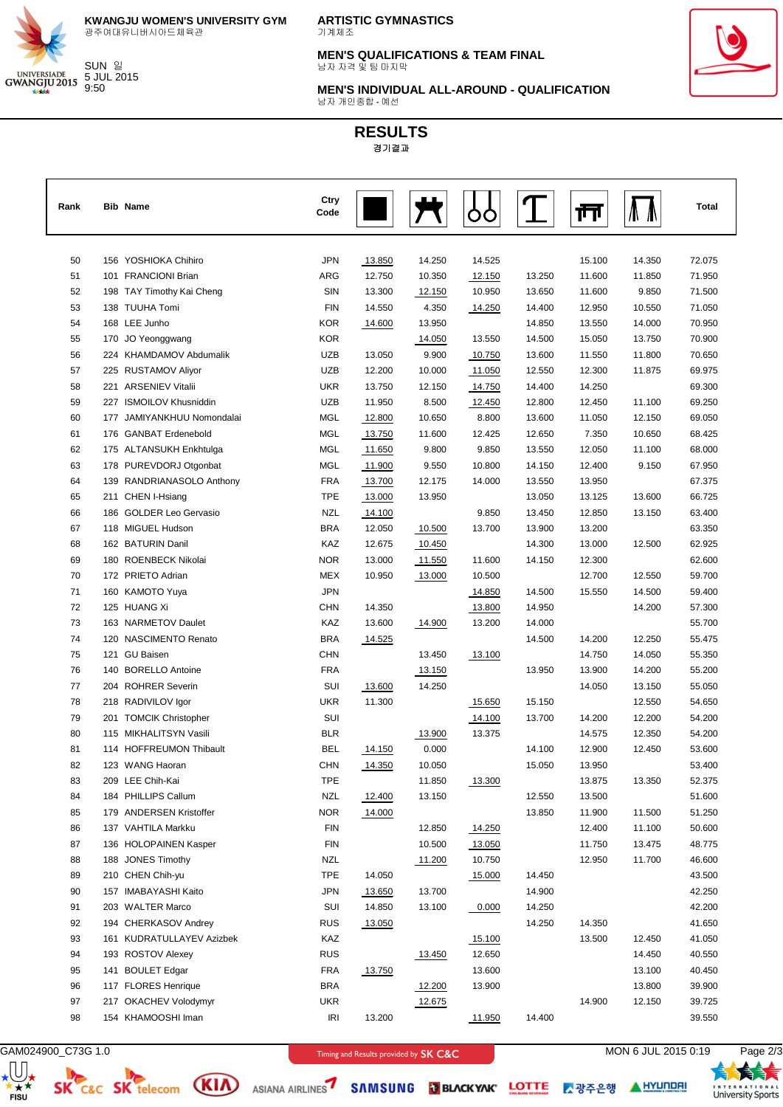

**KWANGJU WOMEN'S UNIVERSITY GYM** 광주여대유니버시아드체육관

**ARTISTIC GYMNASTICS** 기계체조

**MEN'S QUALIFICATIONS & TEAM FINAL** 남자 자격 및 팀 마지막



**MEN'S INDIVIDUAL ALL-AROUND - QUALIFICATION** 남자 개인종합 - 예선

# **RESULTS** 경기결과

| Rank | <b>Bib Name</b>            | Ctry<br>Code |        |        |        |        | ш      |        | Total  |
|------|----------------------------|--------------|--------|--------|--------|--------|--------|--------|--------|
| 50   | 156 YOSHIOKA Chihiro       | <b>JPN</b>   | 13.850 | 14.250 | 14.525 |        | 15.100 | 14.350 | 72.075 |
| 51   | 101 FRANCIONI Brian        | ARG          | 12.750 | 10.350 | 12.150 | 13.250 | 11.600 | 11.850 | 71.950 |
| 52   | 198 TAY Timothy Kai Cheng  | SIN          | 13.300 | 12.150 | 10.950 | 13.650 | 11.600 | 9.850  | 71.500 |
| 53   | 138 TUUHA Tomi             | <b>FIN</b>   | 14.550 | 4.350  | 14.250 | 14.400 | 12.950 | 10.550 | 71.050 |
| 54   | 168 LEE Junho              | <b>KOR</b>   | 14.600 | 13.950 |        | 14.850 | 13.550 | 14.000 | 70.950 |
| 55   | 170 JO Yeonggwang          | <b>KOR</b>   |        | 14.050 | 13.550 | 14.500 | 15.050 | 13.750 | 70.900 |
| 56   | 224 KHAMDAMOV Abdumalik    | UZB          | 13.050 | 9.900  | 10.750 | 13.600 | 11.550 | 11.800 | 70.650 |
| 57   | 225 RUSTAMOV Aliyor        | <b>UZB</b>   | 12.200 | 10.000 | 11.050 | 12.550 | 12.300 | 11.875 | 69.975 |
| 58   | 221 ARSENIEV Vitalii       | <b>UKR</b>   | 13.750 | 12.150 | 14.750 | 14.400 | 14.250 |        | 69.300 |
| 59   | 227 ISMOILOV Khusniddin    | <b>UZB</b>   | 11.950 | 8.500  | 12.450 | 12.800 | 12.450 | 11.100 | 69.250 |
| 60   | 177 JAMIYANKHUU Nomondalai | <b>MGL</b>   | 12.800 | 10.650 | 8.800  | 13.600 | 11.050 | 12.150 | 69.050 |
| 61   | 176 GANBAT Erdenebold      | <b>MGL</b>   | 13.750 | 11.600 | 12.425 | 12.650 | 7.350  | 10.650 | 68.425 |
| 62   | 175 ALTANSUKH Enkhtulga    | MGL          | 11.650 | 9.800  | 9.850  | 13.550 | 12.050 | 11.100 | 68.000 |
| 63   | 178 PUREVDORJ Otgonbat     | MGL          | 11.900 | 9.550  | 10.800 | 14.150 | 12.400 | 9.150  | 67.950 |
| 64   | 139 RANDRIANASOLO Anthony  | <b>FRA</b>   | 13.700 | 12.175 | 14.000 | 13.550 | 13.950 |        | 67.375 |
| 65   | 211 CHEN I-Hsiang          | <b>TPE</b>   | 13.000 | 13.950 |        | 13.050 | 13.125 | 13.600 | 66.725 |
| 66   | 186 GOLDER Leo Gervasio    | <b>NZL</b>   | 14.100 |        | 9.850  | 13.450 | 12.850 | 13.150 | 63.400 |
| 67   | 118 MIGUEL Hudson          | <b>BRA</b>   | 12.050 | 10.500 | 13.700 | 13.900 | 13.200 |        | 63.350 |
| 68   | 162 BATURIN Danil          | KAZ          | 12.675 | 10.450 |        | 14.300 | 13.000 | 12.500 | 62.925 |
| 69   | 180 ROENBECK Nikolai       | <b>NOR</b>   | 13.000 | 11.550 | 11.600 | 14.150 | 12.300 |        | 62.600 |
| 70   | 172 PRIETO Adrian          | MEX          | 10.950 | 13.000 | 10.500 |        | 12.700 | 12.550 | 59.700 |
| 71   | 160 KAMOTO Yuya            | <b>JPN</b>   |        |        | 14.850 | 14.500 | 15.550 | 14.500 | 59.400 |
| 72   | 125 HUANG Xi               | <b>CHN</b>   | 14.350 |        | 13.800 | 14.950 |        | 14.200 | 57.300 |
| 73   | 163 NARMETOV Daulet        | KAZ          | 13.600 | 14.900 | 13.200 | 14.000 |        |        | 55.700 |
| 74   | 120 NASCIMENTO Renato      | <b>BRA</b>   | 14.525 |        |        | 14.500 | 14.200 | 12.250 | 55.475 |
| 75   | 121 GU Baisen              | <b>CHN</b>   |        | 13.450 | 13.100 |        | 14.750 | 14.050 | 55.350 |
| 76   | 140 BORELLO Antoine        | <b>FRA</b>   |        | 13.150 |        | 13.950 | 13.900 | 14.200 | 55.200 |
| 77   | 204 ROHRER Severin         | SUI          | 13.600 | 14.250 |        |        | 14.050 | 13.150 | 55.050 |
| 78   | 218 RADIVILOV Igor         | <b>UKR</b>   | 11.300 |        | 15.650 | 15.150 |        | 12.550 | 54.650 |
| 79   | 201 TOMCIK Christopher     | SUI          |        |        | 14.100 | 13.700 | 14.200 | 12.200 | 54.200 |
| 80   | 115 MIKHALITSYN Vasili     | <b>BLR</b>   |        | 13.900 | 13.375 |        | 14.575 | 12.350 | 54.200 |
| 81   | 114 HOFFREUMON Thibault    | <b>BEL</b>   | 14.150 | 0.000  |        | 14.100 | 12.900 | 12.450 | 53.600 |
| 82   | 123 WANG Haoran            | <b>CHN</b>   | 14.350 | 10.050 |        | 15.050 | 13.950 |        | 53.400 |
| 83   | 209 LEE Chih-Kai           | TPE          |        | 11.850 | 13.300 |        | 13.875 | 13.350 | 52.375 |
| 84   | 184 PHILLIPS Callum        | <b>NZL</b>   | 12.400 | 13.150 |        | 12.550 | 13.500 |        | 51.600 |
| 85   | 179 ANDERSEN Kristoffer    | NOR          | 14.000 |        |        | 13.850 | 11.900 | 11.500 | 51.250 |
| 86   | 137 VAHTILA Markku         | <b>FIN</b>   |        | 12.850 | 14.250 |        | 12.400 | 11.100 | 50.600 |
| 87   | 136 HOLOPAINEN Kasper      | <b>FIN</b>   |        | 10.500 | 13.050 |        | 11.750 | 13.475 | 48.775 |
| 88   | 188 JONES Timothy          | <b>NZL</b>   |        | 11.200 | 10.750 |        | 12.950 | 11.700 | 46.600 |
| 89   | 210 CHEN Chih-yu           | <b>TPE</b>   | 14.050 |        | 15.000 | 14.450 |        |        | 43.500 |
| 90   | 157 IMABAYASHI Kaito       | <b>JPN</b>   | 13.650 | 13.700 |        | 14.900 |        |        | 42.250 |
| 91   | 203 WALTER Marco           | SUI          | 14.850 | 13.100 | 0.000  | 14.250 |        |        | 42.200 |
| 92   | 194 CHERKASOV Andrey       | <b>RUS</b>   | 13.050 |        |        | 14.250 | 14.350 |        | 41.650 |
| 93   | 161 KUDRATULLAYEV Azizbek  | KAZ          |        |        | 15.100 |        | 13.500 | 12.450 | 41.050 |
| 94   | 193 ROSTOV Alexey          | <b>RUS</b>   |        | 13.450 | 12.650 |        |        | 14.450 | 40.550 |
| 95   | 141 BOULET Edgar           | <b>FRA</b>   | 13.750 |        | 13.600 |        |        | 13.100 | 40.450 |
| 96   | 117 FLORES Henrique        | <b>BRA</b>   |        | 12.200 | 13.900 |        |        | 13.800 | 39.900 |
| 97   | 217 OKACHEV Volodymyr      | <b>UKR</b>   |        | 12.675 |        |        | 14.900 | 12.150 | 39.725 |
| 98   | 154 KHAMOOSHI Iman         | IRI          | 13.200 |        | 11.950 | 14.400 |        |        | 39.550 |

 $\bigoplus_{\substack{\star \\ \star \\ \mathsf{FISU}}}$ 



GAM024900\_C73G 1.0 **CONSERVERTY CONSERVERTY CONSERVERTY CONSERVERTY CONSERVERTY CONSERVERTY CONSERVERTY CONSERVERTY CONSERVERTY CONSERVERTY CONSERVERTY CONSERVERTY CONSERVERTY CONSERVERTY CONSERVERTY CONSERVERTY CONSERVERT** 

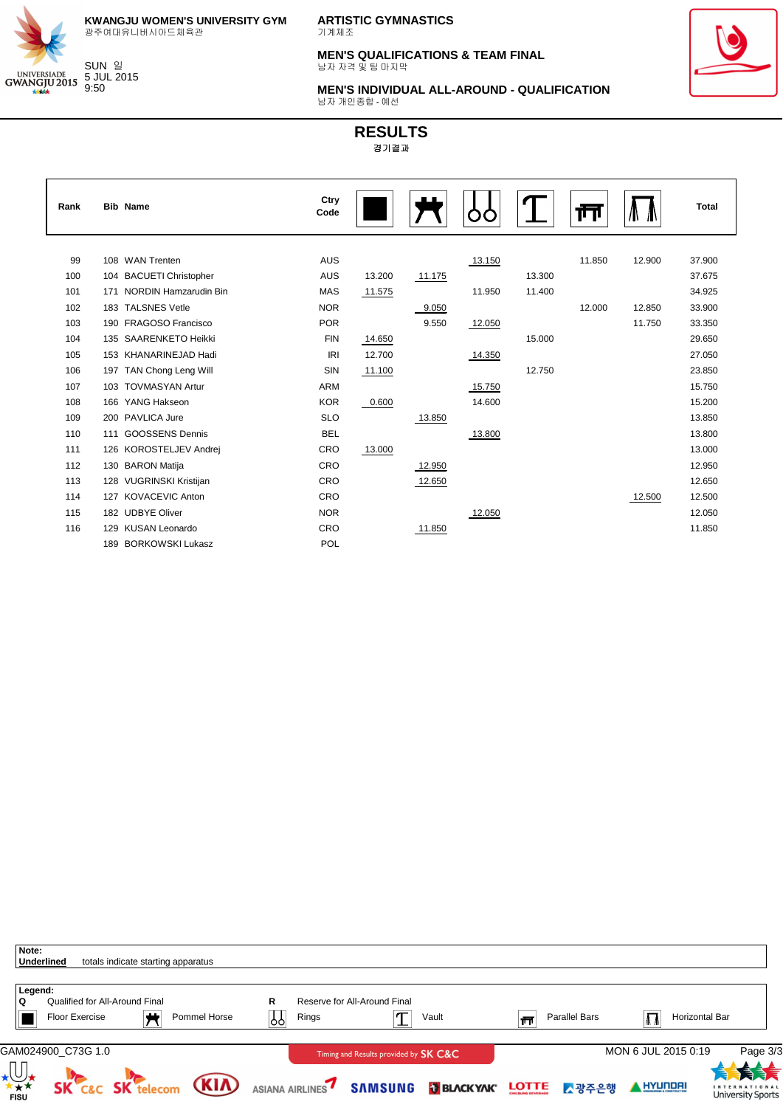

 $\mathbf{r}$ 

**KWANGJU WOMEN'S UNIVERSITY GYM** 광주여대유니버시아드체육관

**ARTISTIC GYMNASTICS** 기계체조

**MEN'S QUALIFICATIONS & TEAM FINAL** 남자 자격 및 팀 마지막



**MEN'S INDIVIDUAL ALL-AROUND - QUALIFICATION** 남자 개인종합 - 예선

| Rank |     | <b>Bib Name</b>              | Ctry<br>Code |        |        |        |        | Ш      |        | <b>Total</b> |
|------|-----|------------------------------|--------------|--------|--------|--------|--------|--------|--------|--------------|
|      |     |                              |              |        |        |        |        |        |        |              |
| 99   | 108 | <b>WAN Trenten</b>           | <b>AUS</b>   |        |        | 13.150 |        | 11.850 | 12.900 | 37.900       |
| 100  | 104 | <b>BACUETI Christopher</b>   | <b>AUS</b>   | 13.200 | 11.175 |        | 13.300 |        |        | 37.675       |
| 101  | 171 | <b>NORDIN Hamzarudin Bin</b> | <b>MAS</b>   | 11.575 |        | 11.950 | 11.400 |        |        | 34.925       |
| 102  | 183 | <b>TALSNES Vetle</b>         | <b>NOR</b>   |        | 9.050  |        |        | 12.000 | 12.850 | 33.900       |
| 103  | 190 | FRAGOSO Francisco            | <b>POR</b>   |        | 9.550  | 12.050 |        |        | 11.750 | 33.350       |
| 104  | 135 | <b>SAARENKETO Heikki</b>     | <b>FIN</b>   | 14.650 |        |        | 15.000 |        |        | 29.650       |
| 105  | 153 | KHANARINEJAD Hadi            | IRI          | 12.700 |        | 14.350 |        |        |        | 27.050       |
| 106  |     | 197 TAN Chong Leng Will      | SIN          | 11.100 |        |        | 12.750 |        |        | 23.850       |
| 107  | 103 | <b>TOVMASYAN Artur</b>       | <b>ARM</b>   |        |        | 15.750 |        |        |        | 15.750       |
| 108  | 166 | YANG Hakseon                 | <b>KOR</b>   | 0.600  |        | 14.600 |        |        |        | 15.200       |
| 109  | 200 | PAVLICA Jure                 | <b>SLO</b>   |        | 13.850 |        |        |        |        | 13.850       |
| 110  | 111 | <b>GOOSSENS Dennis</b>       | <b>BEL</b>   |        |        | 13.800 |        |        |        | 13.800       |
| 111  | 126 | KOROSTELJEV Andrej           | CRO          | 13.000 |        |        |        |        |        | 13.000       |
| 112  | 130 | <b>BARON Matija</b>          | CRO          |        | 12.950 |        |        |        |        | 12.950       |
| 113  | 128 | <b>VUGRINSKI Kristijan</b>   | CRO          |        | 12.650 |        |        |        |        | 12.650       |
| 114  | 127 | <b>KOVACEVIC Anton</b>       | CRO          |        |        |        |        |        | 12.500 | 12.500       |
| 115  |     | 182 UDBYE Oliver             | <b>NOR</b>   |        |        | 12.050 |        |        |        | 12.050       |
| 116  | 129 | <b>KUSAN Leonardo</b>        | CRO          |        | 11.850 |        |        |        |        | 11.850       |
|      | 189 | <b>BORKOWSKI Lukasz</b>      | POL          |        |        |        |        |        |        |              |
|      |     |                              |              |        |        |        |        |        |        |              |

| Note:<br><b>Underlined</b> |                                                         | totals indicate starting apparatus |              |         |                 |                                       |                   |              |               |                             |                                                  |                |
|----------------------------|---------------------------------------------------------|------------------------------------|--------------|---------|-----------------|---------------------------------------|-------------------|--------------|---------------|-----------------------------|--------------------------------------------------|----------------|
| Legend:<br>۱Q              | Qualified for All-Around Final<br><b>Floor Exercise</b> | - 11                               | Pommel Horse | R<br>Ŷſ | Rings           | Reserve for All-Around Final          | Vault             | त्त          | Parallel Bars | $\mathbf{\mathbf{\Lambda}}$ | Horizontal Bar                                   |                |
|                            | GAM024900_C73G 1.0                                      |                                    |              |         |                 | Timing and Results provided by SK C&C |                   |              |               | MON 6 JUL 2015 0:19         |                                                  | Page 3/3<br>大夫 |
| <b>FISU</b>                | <b>SK</b>                                               | <b>SK</b> telecom                  | <b>(KIA)</b> |         | ASIANA AIRLINES | <b>SAMSUNG</b>                        | <b>BLACK YAK®</b> | <b>LOTTE</b> | ▶광주은행         | HYUNDAI                     | <b>INTERNATIONAL</b><br><b>University Sports</b> |                |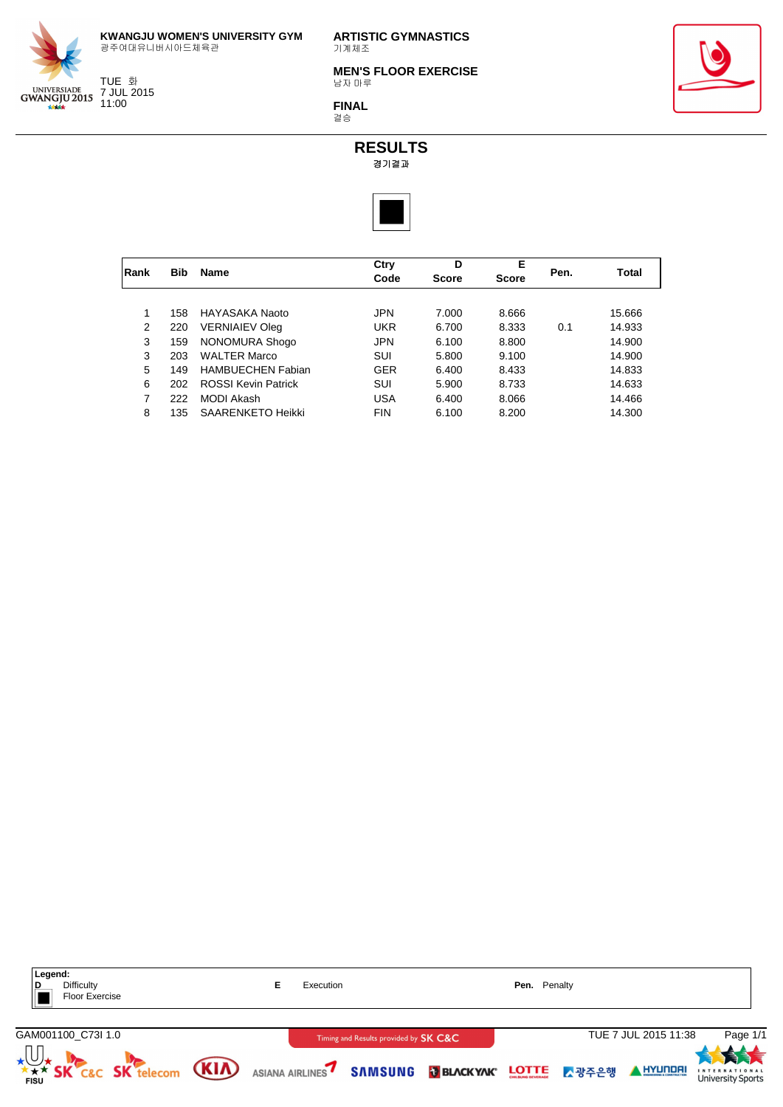

TUE 화 7 JUL 2015 11:00

**ARTISTIC GYMNASTICS** 기계체조

**MEN'S FLOOR EXERCISE** 남자 마루

**FINAL** 결승





|      |            |                            | Ctry       | D            | Е            |      |        |
|------|------------|----------------------------|------------|--------------|--------------|------|--------|
| Rank | <b>Bib</b> | <b>Name</b>                | Code       | <b>Score</b> | <b>Score</b> | Pen. | Total  |
|      |            |                            |            |              |              |      |        |
| 1    | 158        | HAYASAKA Naoto             | <b>JPN</b> | 7.000        | 8.666        |      | 15.666 |
| 2    | 220        | <b>VERNIAIEV Oleg</b>      | <b>UKR</b> | 6.700        | 8.333        | 0.1  | 14.933 |
| 3    | 159        | NONOMURA Shogo             | <b>JPN</b> | 6.100        | 8.800        |      | 14.900 |
| 3    | 203        | <b>WALTER Marco</b>        | <b>SUI</b> | 5.800        | 9.100        |      | 14.900 |
| 5    | 149        | <b>HAMBUECHEN Fabian</b>   | <b>GER</b> | 6.400        | 8.433        |      | 14.833 |
| 6    | 202        | <b>ROSSI Kevin Patrick</b> | SUI        | 5.900        | 8.733        |      | 14.633 |
| 7    | 222        | <b>MODI Akash</b>          | <b>USA</b> | 6.400        | 8.066        |      | 14.466 |
| 8    | 135        | <b>SAARENKETO Heikki</b>   | <b>FIN</b> | 6.100        | 8.200        |      | 14.300 |

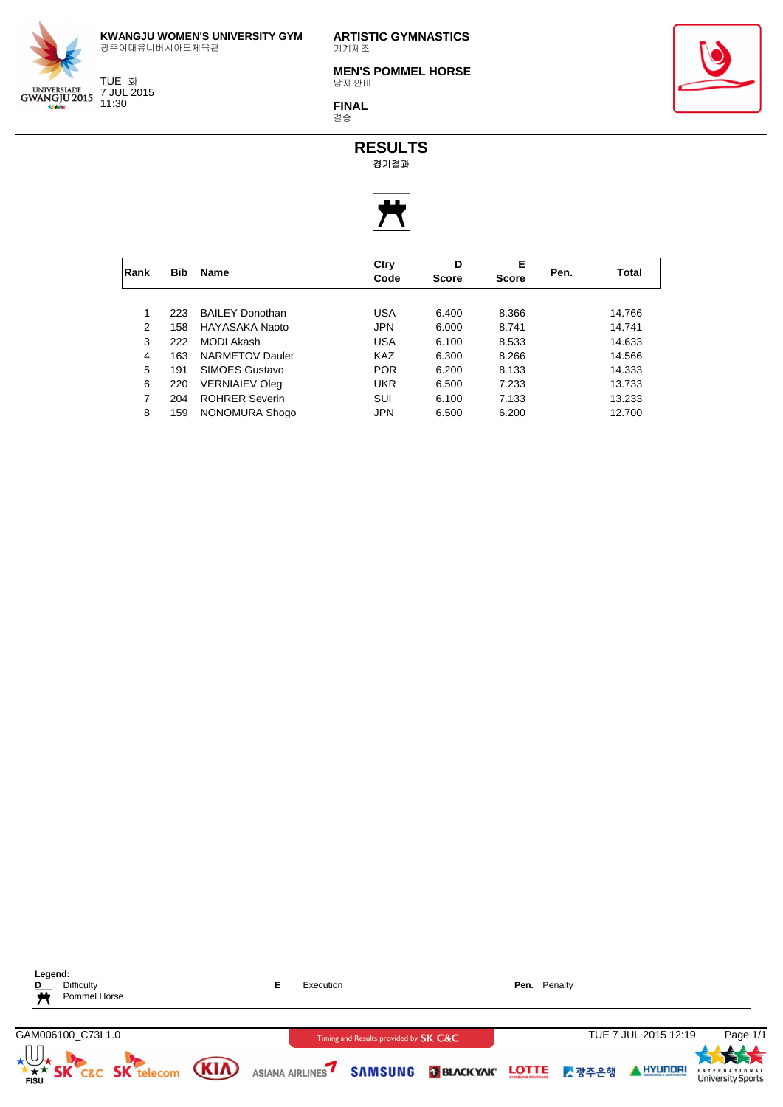

**ARTISTIC GYMNASTICS** 기계체조

**MEN'S POMMEL HORSE** 남자 안마

**FINAL** 결승



**RESULTS** 경기결과



|      |            |                        | Ctry       | D            | Е            |      |        |
|------|------------|------------------------|------------|--------------|--------------|------|--------|
| Rank | <b>Bib</b> | <b>Name</b>            | Code       | <b>Score</b> | <b>Score</b> | Pen. | Total  |
|      |            |                        |            |              |              |      |        |
|      | 223        | <b>BAILEY Donothan</b> | USA        | 6.400        | 8.366        |      | 14.766 |
| 2    | 158        | HAYASAKA Naoto         | <b>JPN</b> | 6.000        | 8.741        |      | 14.741 |
| 3    | 222        | MODI Akash             | USA        | 6.100        | 8.533        |      | 14.633 |
| 4    | 163        | <b>NARMETOV Daulet</b> | KAZ        | 6.300        | 8.266        |      | 14.566 |
| 5    | 191        | SIMOES Gustavo         | <b>POR</b> | 6.200        | 8.133        |      | 14.333 |
| 6    | 220        | <b>VERNIAIEV Oleg</b>  | UKR        | 6.500        | 7.233        |      | 13.733 |
| 7    | 204        | <b>ROHRER Severin</b>  | SUI        | 6.100        | 7.133        |      | 13.233 |
| 8    | 159        | NONOMURA Shogo         | <b>JPN</b> | 6.500        | 6.200        |      | 12.700 |





TUE 화 7 JUL 2015 11:30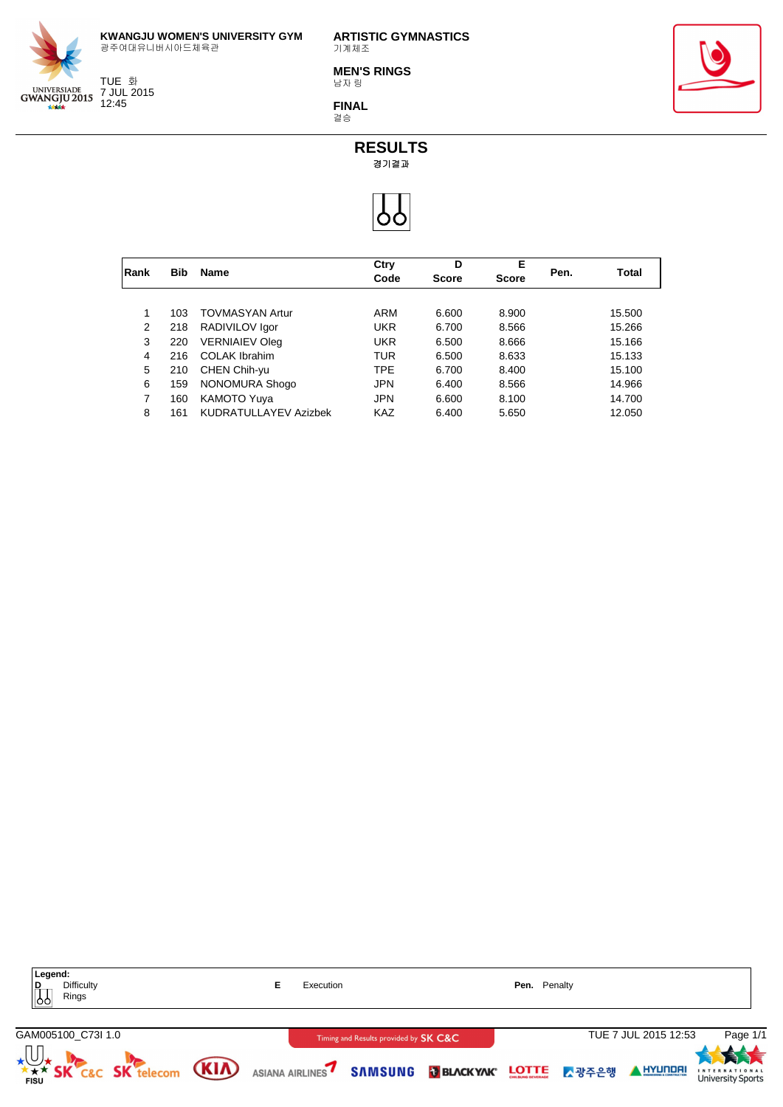

TUE 화 7 JUL 2015 12:45

**ARTISTIC GYMNASTICS** 기계체조

**MEN'S RINGS** 남자 링

**FINAL** 결승



**RESULTS**

경기결과



|      |            |                        | Ctry       | D            | E            |      |        |
|------|------------|------------------------|------------|--------------|--------------|------|--------|
| Rank | <b>Bib</b> | <b>Name</b>            | Code       | <b>Score</b> | <b>Score</b> | Pen. | Total  |
|      |            |                        |            |              |              |      |        |
|      | 103        | <b>TOVMASYAN Artur</b> | ARM        | 6.600        | 8.900        |      | 15.500 |
| 2    | 218        | RADIVILOV Igor         | UKR        | 6.700        | 8.566        |      | 15.266 |
| 3    | 220        | <b>VERNIAIEV Oleg</b>  | UKR        | 6.500        | 8.666        |      | 15.166 |
| 4    | 216        | <b>COLAK Ibrahim</b>   | TUR        | 6.500        | 8.633        |      | 15.133 |
| 5    | 210        | CHEN Chih-yu           | <b>TPE</b> | 6.700        | 8.400        |      | 15.100 |
| 6    | 159        | NONOMURA Shogo         | <b>JPN</b> | 6.400        | 8.566        |      | 14.966 |
| 7    | 160        | <b>KAMOTO Yuya</b>     | <b>JPN</b> | 6.600        | 8.100        |      | 14.700 |
| 8    | 161        | KUDRATULLAYEV Azizbek  | <b>KAZ</b> | 6.400        | 5.650        |      | 12.050 |

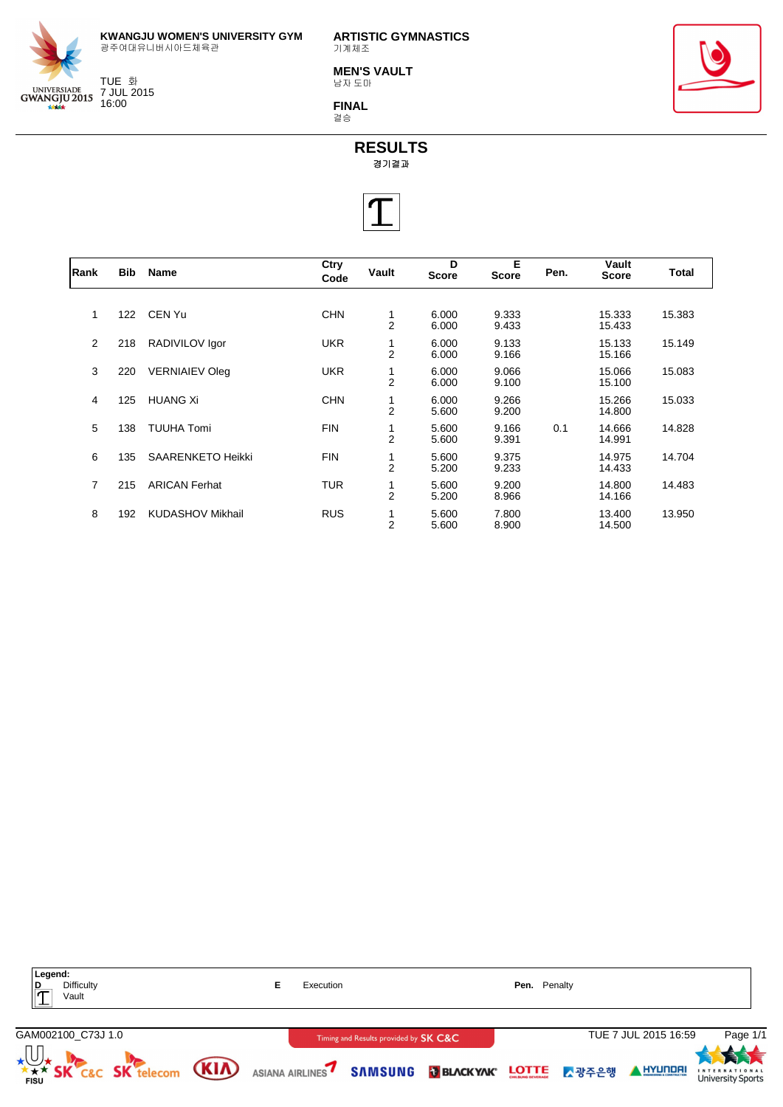

TUE 화 7 JUL 2015 16:00

**ARTISTIC GYMNASTICS** 기계체조

**MEN'S VAULT** 남자 도마

**FINAL** 결승





| Rank | <b>Bib</b> | Name                     | Ctry<br>Code | Vault               | D<br><b>Score</b> | Е<br><b>Score</b> | Pen. | Vault<br>Score   | Total  |
|------|------------|--------------------------|--------------|---------------------|-------------------|-------------------|------|------------------|--------|
|      |            |                          |              |                     |                   |                   |      |                  |        |
| 1    | 122        | CEN Yu                   | <b>CHN</b>   | 1<br>$\overline{2}$ | 6.000<br>6.000    | 9.333<br>9.433    |      | 15.333<br>15.433 | 15.383 |
| 2    | 218        | RADIVILOV Igor           | <b>UKR</b>   | $\overline{2}$      | 6.000<br>6.000    | 9.133<br>9.166    |      | 15.133<br>15.166 | 15.149 |
| 3    | 220        | <b>VERNIAIEV Oleg</b>    | <b>UKR</b>   | $\overline{2}$      | 6.000<br>6.000    | 9.066<br>9.100    |      | 15.066<br>15.100 | 15.083 |
| 4    | 125        | <b>HUANG Xi</b>          | <b>CHN</b>   | 1<br>$\overline{2}$ | 6.000<br>5.600    | 9.266<br>9.200    |      | 15.266<br>14.800 | 15.033 |
| 5    | 138        | <b>TUUHA Tomi</b>        | <b>FIN</b>   | $\overline{2}$      | 5.600<br>5.600    | 9.166<br>9.391    | 0.1  | 14.666<br>14.991 | 14.828 |
| 6    | 135        | <b>SAARENKETO Heikki</b> | <b>FIN</b>   | $\overline{2}$      | 5.600<br>5.200    | 9.375<br>9.233    |      | 14.975<br>14.433 | 14.704 |
| 7    | 215        | <b>ARICAN Ferhat</b>     | <b>TUR</b>   | $\overline{2}$      | 5.600<br>5.200    | 9.200<br>8.966    |      | 14.800<br>14.166 | 14.483 |
| 8    | 192        | <b>KUDASHOV Mikhail</b>  | <b>RUS</b>   | $\overline{2}$      | 5.600<br>5.600    | 7.800<br>8.900    |      | 13.400<br>14.500 | 13.950 |

| Legend:<br>$\frac{D}{T}$<br>Difficulty<br>Vault                                                      | Execution |                                       | Pen. Penalty |                      |                                                        |
|------------------------------------------------------------------------------------------------------|-----------|---------------------------------------|--------------|----------------------|--------------------------------------------------------|
| GAM002100_C73J 1.0                                                                                   |           | Timing and Results provided by SK C&C |              | TUE 7 JUL 2015 16:59 | Page 1/1                                               |
| <b>XXX SK C&amp;C SK telecom (KIA)</b> ASIANA AIRLINES <b>7 SAMSUNG IN BLACKYAK</b> LOTTE LA RESPECT |           |                                       |              | AHYUNDAI             | 大夫<br><b>INTERNATIONAL</b><br><b>University Sports</b> |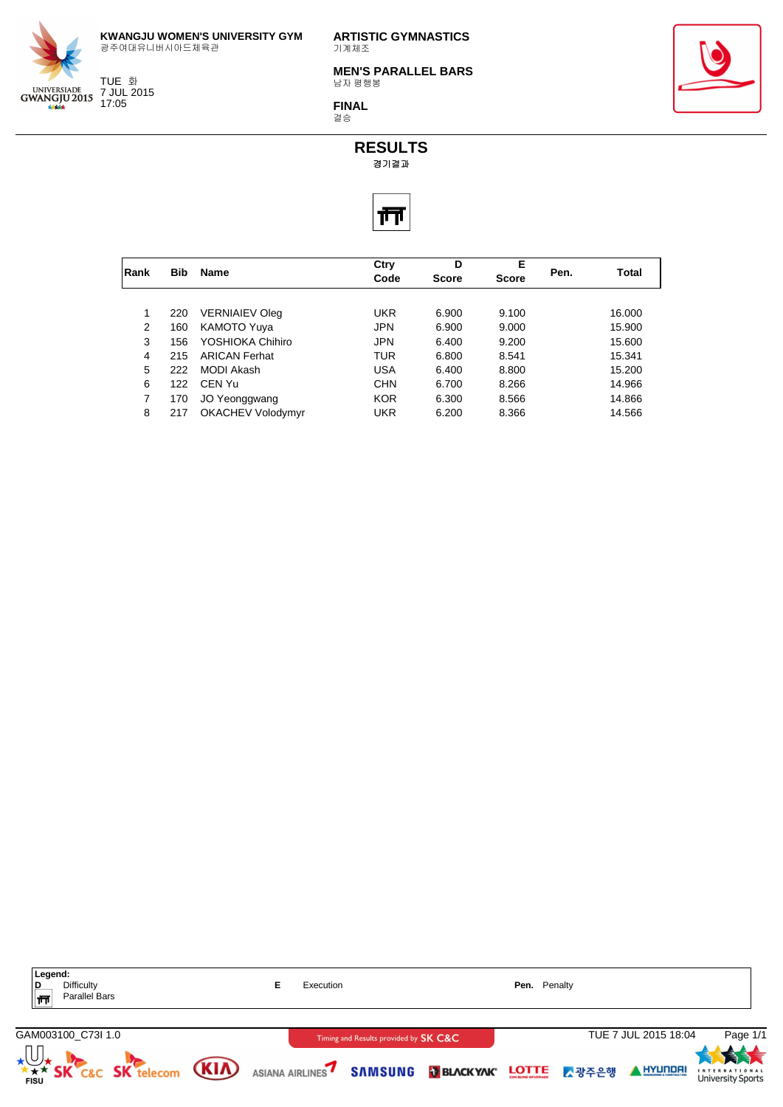

TUE 화 7 JUL 2015 17:05

**ARTISTIC GYMNASTICS** 기계체조

**MEN'S PARALLEL BARS** 남자 평행봉

**FINAL** 결승





| Rank | <b>Bib</b> | <b>Name</b>              | Ctry<br>Code | D<br><b>Score</b> | Е<br><b>Score</b> | Pen. | Total  |
|------|------------|--------------------------|--------------|-------------------|-------------------|------|--------|
|      |            |                          |              |                   |                   |      |        |
| 1    | 220        | <b>VERNIAIEV Oleg</b>    | <b>UKR</b>   | 6.900             | 9.100             |      | 16.000 |
| 2    | 160        | <b>KAMOTO Yuya</b>       | <b>JPN</b>   | 6.900             | 9.000             |      | 15.900 |
| 3    | 156        | YOSHIOKA Chihiro         | <b>JPN</b>   | 6.400             | 9.200             |      | 15.600 |
| 4    | 215        | <b>ARICAN Ferhat</b>     | TUR          | 6.800             | 8.541             |      | 15.341 |
| 5    | 222        | MODI Akash               | USA          | 6.400             | 8.800             |      | 15.200 |
| 6    | 122        | CFN Yu                   | <b>CHN</b>   | 6.700             | 8.266             |      | 14.966 |
| 7    | 170        | JO Yeonggwang            | <b>KOR</b>   | 6.300             | 8.566             |      | 14.866 |
| 8    | 217        | <b>OKACHEV Volodymyr</b> | <b>UKR</b>   | 6.200             | 8.366             |      | 14.566 |